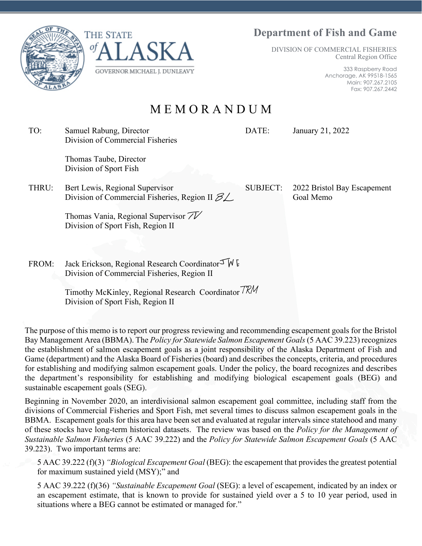# **Department of Fish and Game**

DIVISION OF COMMERCIAL FISHERIES Central Region Office

> 333 Raspberry Road Anchorage, AK 99518-1565 Main: 907.267.2105 Fax: 907.267.2442

M E M O R A N D U M

TO: Samuel Rabung, Director Division of Commercial Fisheries

> Thomas Taube, Director Division of Sport Fish

THRU: Bert Lewis, Regional Supervisor Division of Commercial Fisheries, Region II  $\mathscr{B} \mathscr{L}$ 

> Thomas Vania, Regional Supervisor  $\mathcal{TV}$ Division of Sport Fish, Region II

FROM: Jack Erickson, Regional Research Coordinator  $\mathcal{F} \mathsf{W}$  E Division of Commercial Fisheries, Region II

> Timothy McKinley, Regional Research Coordinator 7RM Division of Sport Fish, Region II

The purpose of this memo is to report our progress reviewing and recommending escapement goals for the Bristol Bay Management Area (BBMA). The *Policy for Statewide Salmon Escapement Goals* (5 AAC 39.223) recognizes the establishment of salmon escapement goals as a joint responsibility of the Alaska Department of Fish and Game (department) and the Alaska Board of Fisheries (board) and describes the concepts, criteria, and procedures for establishing and modifying salmon escapement goals. Under the policy, the board recognizes and describes the department's responsibility for establishing and modifying biological escapement goals (BEG) and sustainable escapement goals (SEG).

Beginning in November 2020, an interdivisional salmon escapement goal committee, including staff from the divisions of Commercial Fisheries and Sport Fish, met several times to discuss salmon escapement goals in the BBMA. Escapement goals for this area have been set and evaluated at regular intervals since statehood and many of these stocks have long-term historical datasets. The review was based on the *Policy for the Management of Sustainable Salmon Fisheries* (5 AAC 39.222) and the *Policy for Statewide Salmon Escapement Goals* (5 AAC 39.223). Two important terms are:

5 AAC 39.222 (f)(3) *"Biological Escapement Goal* (BEG): the escapement that provides the greatest potential for maximum sustained yield (MSY);" and

5 AAC 39.222 (f)(36) *"Sustainable Escapement Goal* (SEG): a level of escapement, indicated by an index or an escapement estimate, that is known to provide for sustained yield over a 5 to 10 year period, used in situations where a BEG cannot be estimated or managed for."





DATE: January 21, 2022

SUBJECT: 2022 Bristol Bay Escapement Goal Memo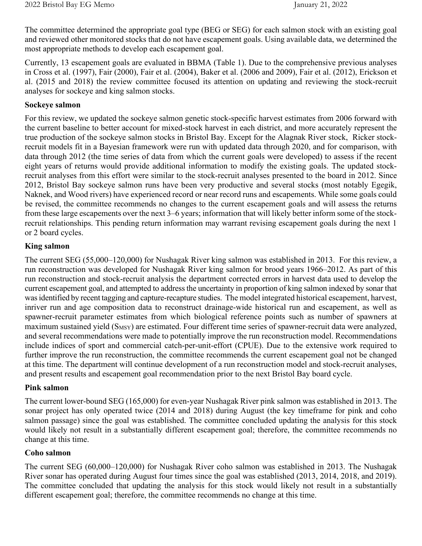The committee determined the appropriate goal type (BEG or SEG) for each salmon stock with an existing goal and reviewed other monitored stocks that do not have escapement goals. Using available data, we determined the most appropriate methods to develop each escapement goal.

Currently, 13 escapement goals are evaluated in BBMA (Table 1). Due to the comprehensive previous analyses in Cross et al. (1997), Fair (2000), Fair et al. (2004), Baker et al. (2006 and 2009), Fair et al. (2012), Erickson et al. (2015 and 2018) the review committee focused its attention on updating and reviewing the stock-recruit analyses for sockeye and king salmon stocks.

## **Sockeye salmon**

For this review, we updated the sockeye salmon genetic stock-specific harvest estimates from 2006 forward with the current baseline to better account for mixed-stock harvest in each district, and more accurately represent the true production of the sockeye salmon stocks in Bristol Bay. Except for the Alagnak River stock, Ricker stockrecruit models fit in a Bayesian framework were run with updated data through 2020, and for comparison, with data through 2012 (the time series of data from which the current goals were developed) to assess if the recent eight years of returns would provide additional information to modify the existing goals. The updated stockrecruit analyses from this effort were similar to the stock-recruit analyses presented to the board in 2012. Since 2012, Bristol Bay sockeye salmon runs have been very productive and several stocks (most notably Egegik, Naknek, and Wood rivers) have experienced record or near record runs and escapements. While some goals could be revised, the committee recommends no changes to the current escapement goals and will assess the returns from these large escapements over the next 3–6 years; information that will likely better inform some of the stockrecruit relationships. This pending return information may warrant revising escapement goals during the next 1 or 2 board cycles.

## **King salmon**

The current SEG (55,000–120,000) for Nushagak River king salmon was established in 2013. For this review, a run reconstruction was developed for Nushagak River king salmon for brood years 1966–2012. As part of this run reconstruction and stock-recruit analysis the department corrected errors in harvest data used to develop the current escapement goal, and attempted to address the uncertainty in proportion of king salmon indexed by sonar that was identified by recent tagging and capture-recapture studies. The model integrated historical escapement, harvest, inriver run and age composition data to reconstruct drainage-wide historical run and escapement, as well as spawner-recruit parameter estimates from which biological reference points such as number of spawners at maximum sustained yield  $(S_{MSY})$  are estimated. Four different time series of spawner-recruit data were analyzed, and several recommendations were made to potentially improve the run reconstruction model. Recommendations include indices of sport and commercial catch-per-unit-effort (CPUE). Due to the extensive work required to further improve the run reconstruction, the committee recommends the current escapement goal not be changed at this time. The department will continue development of a run reconstruction model and stock-recruit analyses, and present results and escapement goal recommendation prior to the next Bristol Bay board cycle.

### **Pink salmon**

The current lower-bound SEG (165,000) for even-year Nushagak River pink salmon was established in 2013. The sonar project has only operated twice (2014 and 2018) during August (the key timeframe for pink and coho salmon passage) since the goal was established. The committee concluded updating the analysis for this stock would likely not result in a substantially different escapement goal; therefore, the committee recommends no change at this time.

### **Coho salmon**

The current SEG (60,000–120,000) for Nushagak River coho salmon was established in 2013. The Nushagak River sonar has operated during August four times since the goal was established (2013, 2014, 2018, and 2019). The committee concluded that updating the analysis for this stock would likely not result in a substantially different escapement goal; therefore, the committee recommends no change at this time.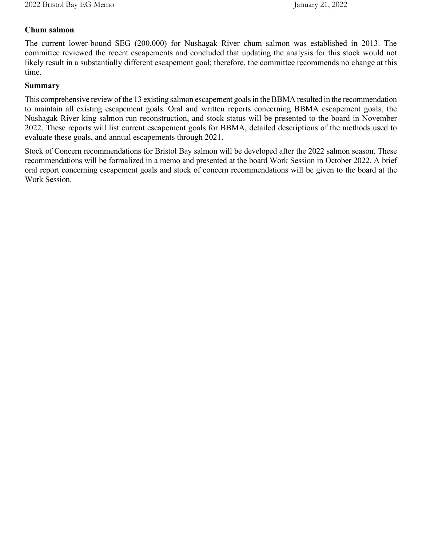## **Chum salmon**

The current lower-bound SEG (200,000) for Nushagak River chum salmon was established in 2013. The committee reviewed the recent escapements and concluded that updating the analysis for this stock would not likely result in a substantially different escapement goal; therefore, the committee recommends no change at this time.

#### **Summary**

This comprehensive review of the 13 existing salmon escapement goals in the BBMA resulted in the recommendation to maintain all existing escapement goals. Oral and written reports concerning BBMA escapement goals, the Nushagak River king salmon run reconstruction, and stock status will be presented to the board in November 2022. These reports will list current escapement goals for BBMA, detailed descriptions of the methods used to evaluate these goals, and annual escapements through 2021.

Stock of Concern recommendations for Bristol Bay salmon will be developed after the 2022 salmon season. These recommendations will be formalized in a memo and presented at the board Work Session in October 2022. A brief oral report concerning escapement goals and stock of concern recommendations will be given to the board at the Work Session.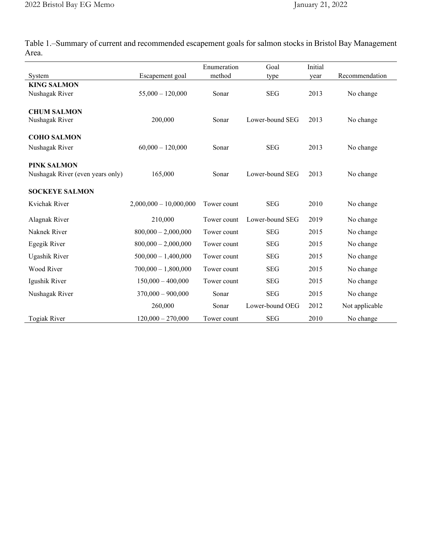Table 1.–Summary of current and recommended escapement goals for salmon stocks in Bristol Bay Management Area.

|                                  |                          | Enumeration | Goal            | Initial |                |
|----------------------------------|--------------------------|-------------|-----------------|---------|----------------|
| System                           | Escapement goal          | method      | type            | year    | Recommendation |
| <b>KING SALMON</b>               |                          |             |                 |         |                |
| Nushagak River                   | $55,000 - 120,000$       | Sonar       | <b>SEG</b>      | 2013    | No change      |
|                                  |                          |             |                 |         |                |
| <b>CHUM SALMON</b>               |                          |             |                 |         |                |
| Nushagak River                   | 200,000                  | Sonar       | Lower-bound SEG | 2013    | No change      |
| <b>COHO SALMON</b>               |                          |             |                 |         |                |
| Nushagak River                   | $60,000 - 120,000$       | Sonar       | <b>SEG</b>      | 2013    | No change      |
|                                  |                          |             |                 |         |                |
| <b>PINK SALMON</b>               |                          |             |                 |         |                |
| Nushagak River (even years only) | 165,000                  | Sonar       | Lower-bound SEG | 2013    | No change      |
|                                  |                          |             |                 |         |                |
| <b>SOCKEYE SALMON</b>            |                          |             |                 |         |                |
| Kvichak River                    | $2,000,000 - 10,000,000$ | Tower count | <b>SEG</b>      | 2010    | No change      |
|                                  |                          |             |                 |         |                |
| Alagnak River                    | 210,000                  | Tower count | Lower-bound SEG | 2019    | No change      |
| Naknek River                     | $800,000 - 2,000,000$    | Tower count | <b>SEG</b>      | 2015    | No change      |
| Egegik River                     | $800,000 - 2,000,000$    | Tower count | <b>SEG</b>      | 2015    | No change      |
| Ugashik River                    | $500,000 - 1,400,000$    | Tower count | <b>SEG</b>      | 2015    | No change      |
| Wood River                       | $700,000 - 1,800,000$    | Tower count | <b>SEG</b>      | 2015    | No change      |
| Igushik River                    | $150,000 - 400,000$      | Tower count | <b>SEG</b>      | 2015    | No change      |
| Nushagak River                   | $370,000 - 900,000$      | Sonar       | <b>SEG</b>      | 2015    | No change      |
|                                  | 260,000                  | Sonar       | Lower-bound OEG | 2012    | Not applicable |
| <b>Togiak River</b>              | $120,000 - 270,000$      | Tower count | <b>SEG</b>      | 2010    | No change      |